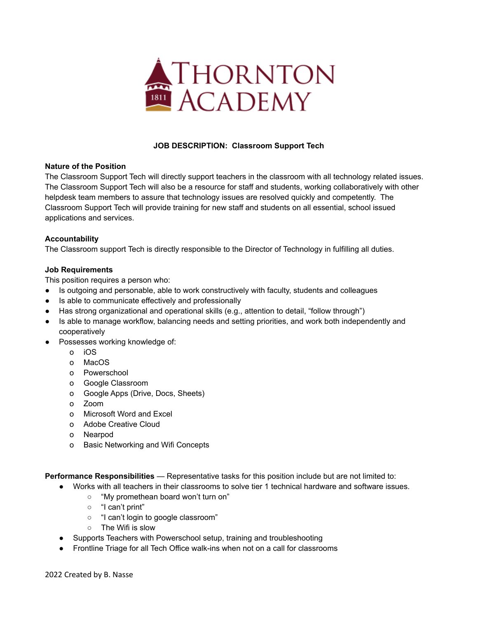

# **JOB DESCRIPTION: Classroom Support Tech**

### **Nature of the Position**

The Classroom Support Tech will directly support teachers in the classroom with all technology related issues. The Classroom Support Tech will also be a resource for staff and students, working collaboratively with other helpdesk team members to assure that technology issues are resolved quickly and competently. The Classroom Support Tech will provide training for new staff and students on all essential, school issued applications and services.

## **Accountability**

The Classroom support Tech is directly responsible to the Director of Technology in fulfilling all duties.

### **Job Requirements**

This position requires a person who:

- Is outgoing and personable, able to work constructively with faculty, students and colleagues
- Is able to communicate effectively and professionally
- Has strong organizational and operational skills (e.g., attention to detail, "follow through")
- Is able to manage workflow, balancing needs and setting priorities, and work both independently and cooperatively
- Possesses working knowledge of:
	- o iOS
	- o MacOS
	- o Powerschool
	- o Google Classroom
	- o Google Apps (Drive, Docs, Sheets)
	- o Zoom
	- o Microsoft Word and Excel
	- o Adobe Creative Cloud
	- o Nearpod
	- o Basic Networking and Wifi Concepts

**Performance Responsibilities** — Representative tasks for this position include but are not limited to:

- Works with all teachers in their classrooms to solve tier 1 technical hardware and software issues.
	- "My promethean board won't turn on"
	- "I can't print"
	- "I can't login to google classroom"
	- The Wifi is slow
- Supports Teachers with Powerschool setup, training and troubleshooting
- Frontline Triage for all Tech Office walk-ins when not on a call for classrooms